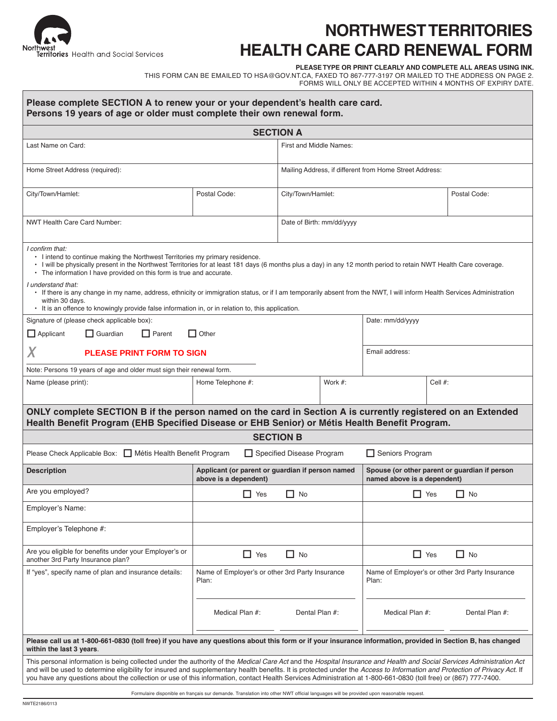

# **NORTHWEST TERRITORIES HEALTH CARE CARD RENEWAL FORM**

**Please Type or Print Clearly and complete all areas using ink.**

THIS FORM CAN BE EMAILED TO HSA@GOV.NT.CA, FAXED TO 867-777-3197 OR MAILED TO THE ADDRESS ON PAGE 2. Forms will only be accepted within 4 months of expiry date.

| Please complete SECTION A to renew your or your dependent's health care card.<br>Persons 19 years of age or older must complete their own renewal form.                                                                                                                                                                                                                                                                                                                                                                                                                                                                                                                  |                                                                           |                                                         |         |                                                                              |                |  |
|--------------------------------------------------------------------------------------------------------------------------------------------------------------------------------------------------------------------------------------------------------------------------------------------------------------------------------------------------------------------------------------------------------------------------------------------------------------------------------------------------------------------------------------------------------------------------------------------------------------------------------------------------------------------------|---------------------------------------------------------------------------|---------------------------------------------------------|---------|------------------------------------------------------------------------------|----------------|--|
| <b>SECTION A</b>                                                                                                                                                                                                                                                                                                                                                                                                                                                                                                                                                                                                                                                         |                                                                           |                                                         |         |                                                                              |                |  |
| Last Name on Card:                                                                                                                                                                                                                                                                                                                                                                                                                                                                                                                                                                                                                                                       |                                                                           | First and Middle Names:                                 |         |                                                                              |                |  |
| Home Street Address (required):                                                                                                                                                                                                                                                                                                                                                                                                                                                                                                                                                                                                                                          |                                                                           | Mailing Address, if different from Home Street Address: |         |                                                                              |                |  |
| City/Town/Hamlet:                                                                                                                                                                                                                                                                                                                                                                                                                                                                                                                                                                                                                                                        | Postal Code:                                                              | City/Town/Hamlet:                                       |         |                                                                              | Postal Code:   |  |
| <b>NWT Health Care Card Number:</b>                                                                                                                                                                                                                                                                                                                                                                                                                                                                                                                                                                                                                                      |                                                                           | Date of Birth: mm/dd/yyyy                               |         |                                                                              |                |  |
| I confirm that:<br>. I intend to continue making the Northwest Territories my primary residence.<br>· I will be physically present in the Northwest Territories for at least 181 days (6 months plus a day) in any 12 month period to retain NWT Health Care coverage.<br>• The information I have provided on this form is true and accurate.<br>I understand that:<br>• If there is any change in my name, address, ethnicity or immigration status, or if I am temporarily absent from the NWT, I will inform Health Services Administration<br>within 30 days.<br>• It is an offence to knowingly provide false information in, or in relation to, this application. |                                                                           |                                                         |         |                                                                              |                |  |
| Signature of (please check applicable box):<br>$\Box$ Applicant<br>$\Box$ Guardian<br>    Parent                                                                                                                                                                                                                                                                                                                                                                                                                                                                                                                                                                         | $\Box$ Other                                                              |                                                         |         | Date: mm/dd/yyyy                                                             |                |  |
| Χ<br><b>PLEASE PRINT FORM TO SIGN</b>                                                                                                                                                                                                                                                                                                                                                                                                                                                                                                                                                                                                                                    |                                                                           |                                                         |         | Email address:                                                               |                |  |
| Note: Persons 19 years of age and older must sign their renewal form.                                                                                                                                                                                                                                                                                                                                                                                                                                                                                                                                                                                                    |                                                                           |                                                         |         |                                                                              |                |  |
| Name (please print):                                                                                                                                                                                                                                                                                                                                                                                                                                                                                                                                                                                                                                                     | Home Telephone #:                                                         |                                                         | Work #: | Cell #:                                                                      |                |  |
| ONLY complete SECTION B if the person named on the card in Section A is currently registered on an Extended<br>Health Benefit Program (EHB Specified Disease or EHB Senior) or Métis Health Benefit Program.                                                                                                                                                                                                                                                                                                                                                                                                                                                             |                                                                           |                                                         |         |                                                                              |                |  |
| <b>SECTION B</b>                                                                                                                                                                                                                                                                                                                                                                                                                                                                                                                                                                                                                                                         |                                                                           |                                                         |         |                                                                              |                |  |
| Please Check Applicable Box: □ Métis Health Benefit Program<br>□ Specified Disease Program                                                                                                                                                                                                                                                                                                                                                                                                                                                                                                                                                                               |                                                                           |                                                         |         | $\Box$ Seniors Program                                                       |                |  |
| <b>Description</b>                                                                                                                                                                                                                                                                                                                                                                                                                                                                                                                                                                                                                                                       | Applicant (or parent or guardian if person named<br>above is a dependent) |                                                         |         | Spouse (or other parent or guardian if person<br>named above is a dependent) |                |  |
| Are you employed?                                                                                                                                                                                                                                                                                                                                                                                                                                                                                                                                                                                                                                                        | $\Box$ Yes                                                                | $\Box$ No                                               |         | $\prod$ Yes                                                                  | П<br>No        |  |
| Employer's Name:                                                                                                                                                                                                                                                                                                                                                                                                                                                                                                                                                                                                                                                         |                                                                           |                                                         |         |                                                                              |                |  |
| Employer's Telephone #:                                                                                                                                                                                                                                                                                                                                                                                                                                                                                                                                                                                                                                                  |                                                                           |                                                         |         |                                                                              |                |  |
| Are you eligible for benefits under your Employer's or<br>another 3rd Party Insurance plan?                                                                                                                                                                                                                                                                                                                                                                                                                                                                                                                                                                              | $\Box$ Yes                                                                | $\Box$ No                                               |         | $\Box$ Yes                                                                   | $\Box$ No      |  |
| If "yes", specify name of plan and insurance details:                                                                                                                                                                                                                                                                                                                                                                                                                                                                                                                                                                                                                    | Name of Employer's or other 3rd Party Insurance<br>Plan:                  |                                                         |         | Name of Employer's or other 3rd Party Insurance<br>Plan:                     |                |  |
|                                                                                                                                                                                                                                                                                                                                                                                                                                                                                                                                                                                                                                                                          | Medical Plan #:                                                           | Dental Plan #:                                          |         | Medical Plan #:                                                              | Dental Plan #: |  |
| Please call us at 1-800-661-0830 (toll free) if you have any questions about this form or if your insurance information, provided in Section B, has changed<br>within the last 3 years.                                                                                                                                                                                                                                                                                                                                                                                                                                                                                  |                                                                           |                                                         |         |                                                                              |                |  |
| This personal information is being collected under the authority of the Medical Care Act and the Hospital Insurance and Health and Social Services Administration Act<br>and will be used to determine eligibility for insured and supplementary health benefits. It is protected under the Access to Information and Protection of Privacy Act. If<br>you have any questions about the collection or use of this information, contact Health Services Administration at 1-800-661-0830 (toll free) or (867) 777-7400.                                                                                                                                                   |                                                                           |                                                         |         |                                                                              |                |  |

Formulaire disponible en français sur demande. Translation into other NWT official languages will be provided upon reasonable request.